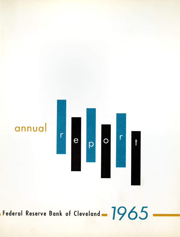

**IFederal Reserve Bank of Cleveland - 1965**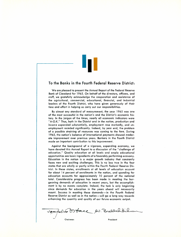

### **To the Banks in the Fourth Federal Reserve District:**

We are pleased to present the Annual Report of the Federal Reserve Bank of Cleveland for 1965. On behalf of the directors, officers, and staff, we gratefully acknowledge the cooperation and assistance of the agricultural, commercial, educational, financial, and industrial leaders of the Fourth District, who have given generously of their time and effort in helping us carry out our responsibilities.

By almost any standard of measurement, the year 1965 was one of the most successful in the nation's and the District's economic history. In the jargon of the times, nearly all economic indicators were "A-O.K." Thus, both in the District and in the nation, production and income expanded substantially, employment rose markedly, and unemployment receded significantly. Indeed, by year end, the problem of a possible straining of resources was coming to the fore. During 1965, the nation's balance of international payments showed moderate improvement over previous years. Bankers in the Fourth District made an important contribution to this improvement.

Against the background of a vigorous, expanding economy, we have devoted this Annual Report to a discussion of the "challenge of education." Quality education at all levels and ample educational opportunities are basic ingredients of a favorably performing economy. Education in the nation is a major growth industry that constantly faces new and exciting challenges. This is no less true in the four states that are wholly or partly within the Fourth Federal Reserve District. In these states, enrollments at all levels of education account for about 14 percent of enrollments in the nation, and spending for education accounts for approximately 10 percent of the national total. Considerable progress has been made in meeting the burgeoning demands of education in recent years, but the accomplishment is by no means complete. Indeed, the task is only beginning since demands for education in the years ahead will necessarily mount. Success in meeting these demands-in the Fourth Federal Reserve District as well as in the nation-will go a long way towards enhancing the quantity and quality of our future economic output.

2 Broder du Broddochtbickman Chairman President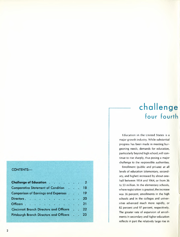### **CONTENTS-**

| <b>Challenge of Education 2</b>           |  |    |
|-------------------------------------------|--|----|
| <b>Comparative Statement of Condition</b> |  | 18 |
| Comparison of Earnings and Expenses 19    |  |    |
|                                           |  | 20 |
|                                           |  | 21 |
| Cincinnati Branch Directors and Officers  |  | 22 |
| Pittsburgh Branch Directors and Officers  |  | 23 |
|                                           |  |    |

### **challenge four fourth**

Education in the United States is a major growth industry. While substantial progress has been made in meeting burgeoning needs, demands for education, particularly beyond high school, will continue to rise sharply, thus posing a major challenge to the responsible authorities.

Enrollment (public and private) at all levels of education (elementary, secondary, and higher) increased by about onehalf between 1954 and 1964, or from 36 to 53 million. **In** the elementary schools, where registration is greatest, the increase was 36 percent; enrollments in the high schools and in the colleges and universities advanced much more rapidly, or 82 percent and 97 percent, respectively. The greater rate of expansion of enrollments in secondary and higher education reflects **in** part the relatively large rise **in**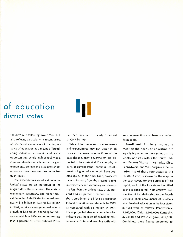### **of education district states**



the birth rate following World War II. It also reflects, particularly in recent years, an increased awareness of the importance of education as a means of broadening individual economic and social opportunities. While high school was a common standard of achievement a generation ago, college and graduate school education have now become more frequent goals.

Total expenditures for education in the United States are an indication of the magnitude of the expansion. The costs of elementary, secondary, and higher education in the United States increased from nearly \$14 billion in 1954 to \$36 billion in 1964, or at an average annual rate of growth of \$2.2 billion. Spending for education, which in 1954 accounted for less than 4 percent of Gross National Product, had increased to nearly 6 percent of GNP by 1964.

While future increases in enrollments and expenditures may not occur in all cases at the same rates as those of the past decade, they nevertheless are expected to be substantial. For example, by 1975, if current trends continue, enrollment in higher education will have doubled again. On the other hand, projected rates of increase from the present to 1975 in elementary and secondary enrollments are less than the college rate, or 20 percent and 25 percent, respectively. In short, enrollment at all levels is expected to total over 70 million students by 1975, as compared with 53 million in 1964. These projected demands for education indicate that the tasks of providing educational facilities and teaching staffs with

an adequate financial base are indeed formidable.

**Enrollment.** Problems involved in meeting the needs of education are equally important to those states that are wholly or partly within the Fourth Federal Reserve District - Kentucky, Ohio, Pennsylvania, and West Virginia. (The relationship of these four states to the Fourth District is shown on the map on the back cover. For the purposes of this report, each of the four states identified above is considered in its entirety, irrespective of its relationship to the Fourth District.) Total enrollments of students at all levels of education in the four states in 1964 were as follows: Pennsylvania, 3,166,000; Ohio, 2,909,000; Kentucky, 829,000; and West Virginia, 495,000. Combined, these figures amounted to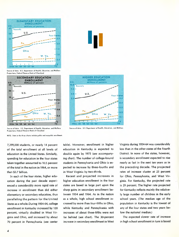

Source of data: U.S. Department of Health, Education, and Welfare Projections, Federal Reserve Bonk of Cleveland









NOTE: Doto in the three charts include public and nonpublic enrollment.

7,399,000 students, or nearly 14 percent of the total enrollment at all levels of education in the United States. Similarly, spending for education in the four states taken together amounted to 10.5 percent of the total in the nation in 1964, or more than \$3.7 billion.

In each of the four states, higher education during the past decade experienced a considerably more rapid rate of increase in enrollment than did either elementary or secondary education, thus paralleling the pattern for the United States as a whole. During 1954-64, college enrollment in Kentucky increased by 120 percent, virtually doubled in West Virginia and Ohio, and increased by about 70 percent in Pennsylvania (see center table). Moreover, enrollment in higher education in Kentucky is expected to double again by 1975 (see accompanying chart). The number of college-bound students in Pennsylvania and Ohio is expected to increase by three-fourths and in West Virginia by two-thirds.

Recent and projected increases in higher education enrollment in the four states are based in large part upon the sharp gains in secondary enrollment between 1954 and 1964. As in the nation as a whole, high school enrollment increased by more than four-fifths in Ohio, while Kentucky and Pennsylvania with increases of about three-fifths were not far behind (see chart). The 30-percent increase in secondary enrollment in West Virginia during 1954-64 was considerably less than in the other states of the Fourth District. In none of the states, however, is secondary enrollment expected to rise nearly as fast in the next ten years as in the preceding decade. The projected rates of increase cluster at 25 percent for Ohio, Pennsylvania, and West Virginia. For Kentucky, the projected rate is 29 percent. The higher rate projected for Kentucky reflects mainly the relatively large number of children in the early school years. (The median age of the population in Kentucky is the lowest of any of the four states and two years below the national median.)

The expected slower rate of increase in high school enrollment in turn is based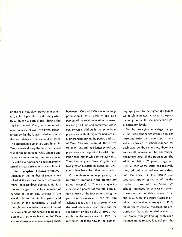on the relatively slow growth in elementary school population (kindergarten through the eighth grade) during the 1954-64 period. Ohio, with an enrollment increase of over two-fifths, experienced by far the largest relative gain of the four states at the elementary level. The increase in elementary enrollment in Pennsylvania during the ten-year period was about 30 percent. West Virginia and Kentucky were among the few states in the nation to experience a decline or only a small increase in elementary enrollment.

**Demographic Characteristics.** Changes in the number of students enrolled at the various levels of education reflect at least three demographic factors - changes in the total number of persons of school age, changes in the age distribution within this group, and changes in the percentage of each of the subgroups enrolled in school. Latest data available on the school-age population in each state are from the 1960 Census. As shown in an accompanying chart,

between 1950 and 1960 the school-age population (5 to 24 years of age) as a percent of the total population increased markedly in Ohio and somewhat less in Pennsylvania. Although the school-age population in Kentucky remained virtually unchanged during the period and that of West Virginia declined, those two states in 1960 still had larger school-age populations in proportion to total population than either Ohio or Pennsylvania. Thus, Kentucky and West Virginia have had greater burdens in educating their youth than have the other two states.

Of the three school-age groups, the number of persons in the elementary school group (5 to 13 years of age) increased as a percent of the total population in each of the four states during the period under review. In contrast, the college-age group (18 to 24 years of age) declined relatively in each state and the secondary or high school group was stable. In the years ahead to 1975, the movement of those now in the elementary-age group to the higher-age groups will result in greater increases in the population groups at the secondary and higher education levels.

Despite the varying percentage changes in the three school-age groups between 1950 and 1960, the percentage of individuals enrolled in school climbed for each state. At the same time, there was an overall increase in the educational attainment level of the population. The adult population (25 years of age and over) in each of the states had relatively more education  $-$  college, secondary, and elementary  $-$  in 1960 than in 1950 (see accompanying chart). While the number of those who had "some high school" increased by at least 6 percent in each of the four states between 1950 and 1960, Ohio and Pennsylvania maintained their relative advantage. By 1960, all four states were fairly close in the proportion of the adult population that had had "some college" training, with Ohio maintaining its relative leadership in the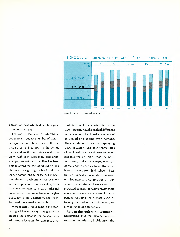

### SCHOOL-AGE GROUPS as a PERCENT of TOTAL POPULATION

Source of doto: U.S. Department of Commerce

percent of those who had had four years or more of college.

The rise in the level of educational attainment is due to a number of factors. A major reason is the increase in the real income of families both in the United States and in the four states under review. With each succeeding generation, a larger proportion of families has been able to afford the cost of educating their children through high school and college. Another long-term factor has been the substantial and continuing movement of the population from a rural, agricultural environment to urban, industrial areas where the importance of higher education is more apparent, and its attainment more readily available.

More recently, rapid gains in the technology of the economy have greatly increased the demands for persons with advanced education. For example, a re-

cent study of the characteristics of the labor force indicated a marked difference in the level of educational attainment of employed and unemployed persons. Thus, as shown in an accompanying chart, in March 1964 nearly three-fifths of employed persons (18 years and over) had four years of high school or more. In contrast, of the unemployed members of the labor force, only two-fifths had at least graduated from high school. These figures suggest a correlation between employment and completion of high school. Other studies have shown that increased demands forworkerswith more education are not concentrated in occupations requiring the highest levels of training, but rather are distributed over a wide range of occupations.

Role of the Federal Government. Recognizing that the national interest requires an educated citizenry, the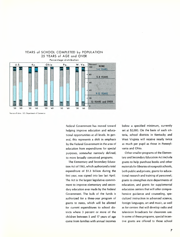

### YEARS of SCHOOL COMPLETED by POPULATION 25 YEARS of AGE and OVER

Source of doto: U.S. Department of Commerce

Federal Government has moved toward helping improve education and educational opportunities at all levels. In general, this represents a shift in emphasis by the Federal Government in the area of education from expenditures for special purposes, somewhat narrowly defined, to more broadly conceived programs.

The Elementary and Secondary Education Act of 1965, which authorized a total expenditure of \$1.3 billion during the first year, was signed into law last April. The Act is the largest legislative commitment to improve elementary and secondary education ever made by the Federal Government. The bulk of the funds is authorized for a three-year program of grants to states, which will be allotted for current expenditures to school districts where 3 percent or more of the children between 5 and 17 years of age come from families with annual incomes below a specified minimum, currently set at \$2,000. On the basis of such criteria, school districts in Kentucky and West Virginia will receive nearly twice as much per pupil as those in Pennsylvania and Ohio.

Other smaller programs of the Elementary and Secondary Education Act include grants to help purchase books and other materials for libraries of nonprofit schools, both public and private; grants for educational research and training of personnel; grants to strengthen state departments of education; and grants for supplemental education centers that will offer comprehensive guidance and counseling, specialized instruction in advanced science, foreign languages, art and music, as well as for centers that will develop radio and television broadcasts for classroom use. In some of these programs, special incentive grants are offered to those school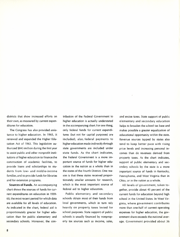districts that show increased efforts on their own, as measured by current expenditures for education.

The Congress has also provided assistance to higher education. In 1965, it renewed and expanded the Higher Education Act of 1963. This legislation authorized \$845 million during the first year to assist public and other nonprofit institutions of higher education to finance the construction of academic facilities, to provide loans and scholarships to students from low- and middle-income families,and to provide funds for libraries and for extension programs.

**Sources of Funds.** An accompanying chart shows the sources of funds for current expenditures on education in 1959- 60, the most recent period for which data are available for all levels of education. As indicated in the chart, federal aid is proportionately greater for higher education than for public elementary and secondary schools. Moreover, the con-

tribution of the Federal Government to higher education is actually understated in the accompanying chart. For one thing, only federal funds for current expenditures (but not for capital purposes) are included; also, federal payments to higher education made indirectly through state governments are included under state funds. As the chart indicates, the Federal Government is a more important source of funds for higher education in the nation as a whole than in the states of the Fourth District. One reason is that these states received proportionately smaller amounts for research, which is the most important source of federal aid to higher education.

Public elementary and secondary schools obtain most of their funds from local governments, which in turn rely heavily on property taxes levied for school purposes. State support of public schools is usually financed by nonproperty tax sources such as income, sales,

and excise taxes. State support of public elementary and secondary education helps to broaden the school tax base and makes possible a greater equalization of educational opportunity within the state. Revenue sources tapped by states also tend to keep better pace with rising price levels and increasing personal incomes than do revenues derived from property taxes. As the chart indicates, support of public elementary and secondary schools by the state is a more important source of funds in Kentucky, Pennsylvania, and West Virginia than in Ohio, or in the nation as a whole.

All levels of government, taken together, provide about 45 percent of the current funds for education beyond high school in the United States. In West Virginia, where government contributes more than one-half of current operating expenses for higher education, the government share exceeds the national average. Government provided about 36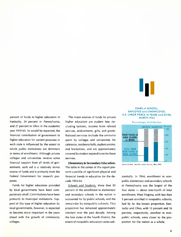

percent of funds to higher education in Kentucky, 24 percent in Pennsylvania, and 27 percent in Ohio in the academic year 1959-60. As would be expected, the financial contribution of government to higher education for current purposes in each state is influenced by the extent to which public institutions are dominant in terms of enrollment. Although private colleges and universities receive some financial support from all levels of government, such aid is a relatively minor source of funds and is primarily from the Federal Government for research purposes.

Funds for higher education provided by local governments have been comparatively small. Contributions have been primarily to municipal institutions. Support of this type of higher education by local governments, however, is expected to become more important in the years ahead with the growth of community colleges.

The major sources of funds for private higher education are student fees (including tuition), income from related services, endowments, gifts, and grants. Related services include the amounts spent by colleges and universities for cafeterias, residence halls, student unions, and bookstores, and are approximately covered by student expenditures for these services.

Elementary & Secondary Education. The table in the center of this report presents a profile of significant physical and financial trends in education for the decade 1954-64.

*Schools and Students.* More than 85 percent of the enrollment in elementary and secondary schools in the nation is accounted for by public schools, and the remainder by nonpublic schools. This proportion has remained approximately constant over the past decade. Among the four states of the Fourth District, the extent of nonpublic education varies sub-

#### YEARS of SCHOOL, EMPLOYED and UNEMPLOYED, U.S. LABOR FORCE 18 YEARS and OVER, MARCH 1964



Source of dato: *Monfhly Labor* Review, May 1965

stantially. In 1964, enrollment in nonpublic elementary and secondary schools in Pennsylvania was the largest of the four states  $-$  about one-fourth of total enrollment. West Virginia, with less than 5 percent enrolled in nonpublic schools, had by far the lowest proportion. Kentucky and Ohio, with 13 percent and 16 percent, respectively, enrolled in nonpublic schools, were closer to the proportion for the nation as a whole.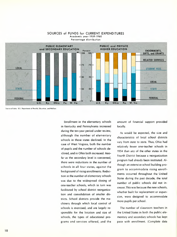

#### SOURCES of FUNDS for CURRENT EXPENDITURES Academic year 1959·1960 Percentage distribution

Source of data: U.S. Department of Health, Education, and Welfare

Enrollment in the elementary schools in Kentucky and Pennsylvania increased during the ten-year period under review, although the number of elementary schools in those states declined. In the case of West Virginia, both the number of pupils and the number of schools declined, and in Ohio both increased. Insofar as the secondary level is concerned, there were reductions in the number of schools in all four states, against the background of rising enrollments. Reduction in the number of elementary schools was due to the widespread closing of one-teacher schools, which in turn was facilitated by school district reorganization and consolidation of smaller districts. School districts provide the machinery through which local control of schools is exercised, and are largely responsible for the location and size of schools, the types of educational programs and services offered, and the

amount of financial support provided locally.

As would be expected, the size and characteristics of local school districts vary from state to state. Thus, Ohio had relatively fewer one-teacher schools in 1954 than any of the other states in the Fourth District because a reorganization program had already been instituted. Although an extensive school building program to accommodate rising enrollments occurred throughout the United States during the past decade, the total number of public schools did not increase.This was because the new schools, whether built for replacement or expansion, were designed to accommodate more pupils per school.

The number of classroom teachers in the United States in both the public elementary and secondary schools has kept pace with enrollment. (Complete data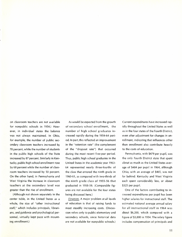on classroom teachers are not available for nonpublic schools in 1954.} However, in individual states the balance was not always maintained. In Ohio, for example, the number of public secondary classroom teachers increased by 70 percent, while the number of students in the public high schools of the State increased by 87 percent. Similarly in Kentucky, public high school enrollment rose by 68 percent while the number of classroom teachers increased by 50 percent. On the other hand, in Pennsylvania and West Virginia the increase in classroom teachers at the secondary level was greater than the rise of enrollment.

(Although not shown separately in the center table, in the United States as a whole, the size of "other instructional staff," which includes principals, librarians, and guidance and psychological personnel, virtually kept pace with mounting enrollment.)

As would be expected from the growth of secondary school enrollment, the number of high school graduates increased rapidly during the 1954-64 period.ln part, this reflected an improvement in the "retention rate" (the complement of the "dropout rate") that occurred during the most recent five-year period. Thus, public high school graduates in the United States in the academic year 1963- 64 represented nearly three-fourths of the class that entered the ninth grade in 1960-61, as compared with two-thirds of the ninth grade class of 1955-56 that graduated in 1958-59. (Comparable figures are not available for the four states being discussed here.)

*Finances.* A major problem at all levels of education is that of raising funds to meet steadily increasing costs. (Discussion refers only to public elementary and secondary schools, since historical data are not available for nonpublic schools.)

Current expenditures have increased rapidly throughout the United States as well as in the four states of the Fourth District, even after adjustment for changes in enrollment, indicating that influences other than enrollment also contribute heavily to the costs of education.

Pennsylvania, with \$479 per pupil, was the only Fourth District state that spent about as much as the United States average of \$484 per pupil in 1964, although Ohio, with an average of \$465, was not far behind. Kentucky and West Virginia each spent considerably less, or about \$325 per pupil.

One of the factors contributing to increased expenditures per pupil has been higher salaries for instructional staff. The estimated national average annual salary for all instructional staff in 1964 was about \$6,200, which compared with a figure of \$3,800 in 1954. The salary figure includes compensation of principals and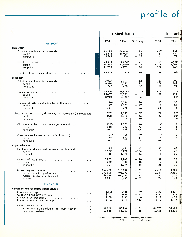# **profile of**

|                                                                                                                                                          |                                       | <b>United States</b>                               | Kentucky                            |                                                 |                                                         |
|----------------------------------------------------------------------------------------------------------------------------------------------------------|---------------------------------------|----------------------------------------------------|-------------------------------------|-------------------------------------------------|---------------------------------------------------------|
|                                                                                                                                                          | 1954                                  | 1964                                               | % Change                            | 1954                                            | 1964                                                    |
| <b>PHYSICAL</b>                                                                                                                                          |                                       |                                                    |                                     |                                                 |                                                         |
| Elementary<br>Full-time enrollment (in thousands) $\cdots$ $\cdots$ $\cdots$ $\cdots$ $\cdots$<br>public<br>nonpublic                                    | 26,138<br>22,546<br>3,592             | 35,525<br>30,025<br>5,500                          | $+36$<br>33<br>$+$<br>$+15$         | 529<br>484<br>45                                | 561<br>482<br>79                                        |
| Number of schools<br>public<br>nonpublic                                                                                                                 | 122,614<br>110,875<br>11,739          | 96,672 <sup>a</sup><br>81,910°<br>14,762°          | - 21<br>$-26$<br>$+26$              | 4,496<br>4,258<br>238                           | 2,761°<br>2,501 <sup>a</sup><br>260 <sup>a</sup>        |
| Number of one-teacher schools $\cdot \cdot \cdot \cdot \cdot \cdot \cdot \cdot \cdot$                                                                    | 42,825                                | $13,333^\circ$                                     | - 69                                | 2,389                                           | 993 <sup>a</sup>                                        |
| Secondary                                                                                                                                                |                                       |                                                    |                                     |                                                 |                                                         |
| Full-time enrollment (in thousands)<br>public<br>nonpublic                                                                                               | 7,037<br>6,290<br>747                 | 12,791<br>11,391<br>1,400                          | $+82$<br>$+81$<br>$+87$             | 123<br>108<br>15                                | 202<br>181<br>21                                        |
| Number of schools $\cdot \cdot \cdot \cdot \cdot$ $\cdot \cdot \cdot$ $\cdot \cdot \cdot$ $\cdot \cdot \cdot$ $\cdot \cdot \cdot$<br>public<br>nonpublic | 29,550<br>25,637<br>3,913             | 29,479 $\degree$<br>25,350°<br>4,1299              | g<br>$\mathbf{1}$<br>5<br>$+$       | 619<br>508<br>111                               | 510 <sup>a</sup><br>429 <sup>a</sup><br>81 <sup>o</sup> |
| Number of high school graduates (in thousands)<br>public<br>nonpublic                                                                                    | 1,276E<br>1,129<br>n.a.               | 2,296<br>2,021<br>275                              | $+80$<br>$+79$<br>n.a.              | 21 <sup>E</sup><br>18<br>n.a.                   | 35<br>31<br>4                                           |
| Total Instructional Staff <sup>b</sup> , Elementary and Secondary (in thousands)<br>public<br>nonpublic                                                  | 1,232<br>1,098<br>134                 | 1,933E<br>$1,718$ <sup>E</sup><br>215 <sup>E</sup> | $+ 57$<br>$+56$<br>$+60$            | 22<br>20<br>$\mathbf{2}$                        | 32 <sup>E</sup><br>28 <sup>E</sup><br>4 <sup>E</sup>    |
| Classroom teachers — elementary (in thousands) $\ldots$<br>public<br>nonpublic                                                                           | 737E<br>658<br>n.a.                   | 1,078<br>940<br>138                                | $+46$<br>$+ 43$<br>n.a.             | 14 <sup>E</sup><br>13<br>n.a.                   | 18<br>16<br>$\mathbf{2}$                                |
| Classroom teachers — secondary (in thousands) $\ldots$ $\ldots$ $\ldots$<br>public<br>nonpublic                                                          | 421 <sup>E</sup><br>375<br>n.a.       | 755<br>685<br>70                                   | $+79$<br>$+83$<br>n.a.              | <b>7E</b><br>6<br>n.a.                          | 10<br>9<br>$\mathbf{1}$                                 |
| <b>Higher Education</b>                                                                                                                                  |                                       |                                                    |                                     |                                                 |                                                         |
| Enrollment in degree credit programs (in thousands) $\ldots$ , $\ldots$<br>public<br>nonpublic                                                           | 2,515<br>1,357<br>1,158               | 4,950<br>3,179<br>1,771                            | $+97$<br>$+134$<br>$+ 53$           | 30<br>19<br>11                                  | 66<br>46<br>20                                          |
| Number of institutions<br>public<br>nonpublic                                                                                                            | 1,863<br>662<br>1,201                 | 2,168<br>784<br>1,384                              | $+16$<br>$+ 18$<br>$+15$            | 37<br>9<br>28                                   | 38<br>8<br>30 <sub>o</sub>                              |
| Earned degrees conferred<br>bachelor's or first professional<br>master's or second professional<br>doctor's                                              | 356,608<br>290,825<br>56,788<br>8,995 | 610,982<br>495,898<br>100,599<br>14,485            | $+ 71$<br>$+ 71$<br>$+77$<br>$+ 61$ | 4,613<br>3,944<br>595<br>74                     | 8,909<br>7,820<br>1,027<br>62                           |
| <b>FINANCIAL</b>                                                                                                                                         |                                       |                                                    |                                     |                                                 |                                                         |
| <b>Elementary and Secondary Public Schools</b>                                                                                                           |                                       |                                                    |                                     |                                                 |                                                         |
| Revenues per pupil <sup>e</sup><br>Current expenditures per pupil<br>Capital outlays per pupil<br>Interest on school debt per pupil                      | \$272<br>\$265<br>\$80<br>\$6         | \$486<br>\$484<br>\$85<br>\$19                     | $+79$<br>$+83$<br>$+ 6$<br>$+217$   | \$153<br>\$153<br>\$ 11<br>\$<br>$\overline{2}$ | \$309<br>\$324<br>\$35<br>\$12                          |
| Average annual salaries<br>instructional staff (including classroom teachers)<br>classroom teachers                                                      | \$3,825<br>\$3,615E                   | \$6,164<br>\$5,963                                 | $+ 61$<br>$+65$                     | \$2,526<br>\$2,465                              | \$4,620<br>\$4,400                                      |

Source: u. S. Deportment of Health, Education, and Welfare E - **estimated n.o. -** net **available**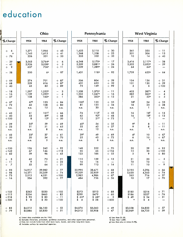## **education**

|                                                                                      |                                  | Ohio                                                            |                                                                     |                                  | Pennsylvania                                           |                                                  |                                 | <b>West Virginia</b>                                      |                                                                     |
|--------------------------------------------------------------------------------------|----------------------------------|-----------------------------------------------------------------|---------------------------------------------------------------------|----------------------------------|--------------------------------------------------------|--------------------------------------------------|---------------------------------|-----------------------------------------------------------|---------------------------------------------------------------------|
| % Change                                                                             | 1954                             | 1964                                                            | % Change                                                            | 1954                             | 1964                                                   | % Change                                         | 1954                            | 1964                                                      | % Change                                                            |
| 6<br>$^{+}$<br>9<br>$+76$                                                            | 1,371<br>1,145<br>226            | 1,966<br>1,615<br>351                                           | $+43$<br>$+$ 41<br>$+ 55$                                           | 1,623<br>1,268<br>355            | 2,110<br>1,558<br>552                                  | $+30$<br>$+23$<br>$+ 55$                         | 361<br>351<br>10                | 320<br>306<br>14                                          | $-11$<br>$-13$<br>$+40$                                             |
| $-39$<br>41<br>$\overline{9}$<br>$+$                                                 | 3,563<br>2,926<br>637            | 3,764°<br>$3,058$ <sup><math>-</math></sup><br>706 <sup>a</sup> | $\boldsymbol{+}$<br>6<br>$+$<br>5<br>$+11$                          | 6,248<br>5,209<br>1,039          | 5,170 $\degree$<br>3,8819<br>1,289 <sup>a</sup>        | $-17$<br>26<br>$\overline{\phantom{m}}$<br>$+24$ | 3,416<br>3,352<br>64            | 2,117°<br>2,053ª<br>64 <sup>°</sup>                       | - 38<br>$-39$                                                       |
| $-58$                                                                                | 200                              | 6а                                                              | $-97$                                                               | 1,431                            | 118 <sup>a</sup>                                       | $-92$                                            | 1,759                           | 632 <sup>a</sup>                                          | - 64                                                                |
| $+64$<br>$+ 68$<br>$+40$                                                             | 374<br>329<br>45                 | 701<br>616<br>85                                                | $+87$<br>$+87$<br>$+ 89$                                            | 506<br>431<br>75                 | 804<br>655<br>149                                      | $+ 59$<br>$+ 52$<br>$+99$                        | 104<br>101<br>3                 | 136<br>130<br>6                                           | $+31$<br>$+ 29$<br>$+100$                                           |
| $-18$<br>$-16$<br>$-27$                                                              | 1,297<br>1,139<br>158            | 1,252°<br>1,092°<br>160 <sup>a</sup>                            | 3<br>$\qquad \qquad -$<br>4<br>$\overline{\phantom{m}}$<br>$+$<br>1 | 1,538<br>1,252<br>286            | 1,370 <sup>o</sup><br>1,047°<br>323 <sup>o</sup>       | $-11$<br>$-16$<br>$+ 13$                         | 403<br>382<br>21                | 387 <sup>a</sup><br>365°<br>22 <sup>o</sup>               | 4<br>$\overline{\phantom{m}}$<br>4<br>$\qquad \qquad -$<br>$+$<br>5 |
| $+ 67$<br>$+ 72$<br>n.a.                                                             | 67 <sup>E</sup><br>60<br>n.a.    | 123<br>108<br>15                                                | $+84$<br>$+80$<br>n.a.                                              | 100 <sup>E</sup><br>81<br>n.a.   | 155<br>125<br>30                                       | $+55$<br>$+ 54$<br>n.a.                          | 18 <sup>E</sup><br>18<br>n.a.   | 24<br>23<br>1                                             | $+33$<br>28<br>$+$<br>n.a.                                          |
| $+45$<br>$+40$<br>$+100$                                                             | 61<br>53<br>8                    | 101 <sup>E</sup><br>89 <sup>E</sup><br>$-12E$                   | $+ 66$<br>$+ 68$<br>$+50$                                           | 74<br>62<br>12                   | 113 <sup>E</sup><br>92 <sup>E</sup><br>21 <sup>E</sup> | $+ 53$<br>$+48$<br>$+75$                         | 16<br>16<br>$\ddot{\mathbf{f}}$ | 18 <sup>E</sup><br>18 <sup>E</sup><br>$\ddot{\mathbf{f}}$ | $+13$<br>$+ 13$                                                     |
| $+29$<br>$+23$<br>n.a.                                                               | 35 <sup>E</sup><br>31<br>n.a.    | 59<br>51<br>8                                                   | $+ 69$<br>$+ 65$<br>n.a.                                            | 40 <sup>E</sup><br>33<br>n.a.    | 54<br>42<br>12                                         | $+35$<br>$+27$<br>n.a.                           | <b>9E</b><br>9<br>n.a.          | 8<br>8<br>$\ddot{\mathbf{f}}$                             | $-11$<br>11<br>$\overline{\phantom{0}}$<br>n.a.                     |
| $+ 43$<br>$+50$<br>n.a.                                                              | 23 <sup>E</sup><br>20<br>n.a.    | 37<br>34<br>3                                                   | $+61$<br>$+70$<br>n.a.                                              | 29E<br>25<br>n.a.                | 49<br>43<br>6                                          | $+ 69$<br>$+72$<br>n.a.                          | 6Е<br>6<br>n.a.                 | 10<br>10 <sub>1</sub><br>$\mathbf{f}$                     | $+$ 67<br>$+ 67$<br>n.a.                                            |
| $+120$<br>$+142$<br>$+82$                                                            | 126<br>67<br>59                  | 242<br>146<br>96                                                | $+ 92$<br>$+118$<br>$+ 63$                                          | 148<br>26<br>122                 | 252<br>66<br>186                                       | $+70$<br>$+154$<br>$+ 52$                        | 20<br>15<br>5                   | 39<br>30<br>9                                             | $+95$<br>$+100$<br>$+80$                                            |
| $\mathbf{3}$<br>$+$<br>$\overline{11}$<br>$\qquad \qquad -$<br>$+$<br>$\overline{7}$ | 62<br>9<br>53                    | 75<br>11<br>64                                                  | $+21$<br>$+22$<br>$+ 21$                                            | 115<br>16<br>99                  | 129<br>16<br>113                                       | $+12$<br>$+14$                                   | 21<br>10<br>11                  | 20<br>10<br>10                                            | 5<br>9<br>-                                                         |
| $+93$<br>$+98$<br>$+73$<br>$-16$                                                     | 16,917<br>14,571<br>2,012<br>334 | 29,982<br>25,359<br>4,031<br>592                                | $+77$<br>$+74$<br>$+100$<br>$+77$                                   | 22,995<br>19,529<br>2,982<br>484 | 38,671<br>32,929<br>4,986<br>756                       | $+ 68$<br>$+ 69$<br>$+ 67$<br>$+56$              | 3,195<br>2,620<br>565<br>10     | 5,296<br>4,563<br>716<br>17                               | h, a<br>$+66$<br>$+74$<br>$+27$<br>$+70$                            |
| $+102$<br>$+112$<br>$+218$<br>$+500$                                                 | \$263<br>\$254<br>\$93<br>\$8    | \$530<br>\$465<br>\$83<br>\$20                                  | $+102$<br>$+83$<br>- 11<br>$+150$                                   | \$273<br>\$299<br>\$65d<br>\$4   | \$513<br>\$479<br>\$68 <sup>d</sup><br>\$28            | $+88$<br>$+60$<br>$+ 5$<br>$+600$                | \$185<br>\$186<br>\$49<br>e     | \$316<br>\$327<br>\$34<br>\$ 4                            | $+71$<br>$+76$<br>$-31$                                             |
| $+83$<br>$+79$                                                                       | \$4,012<br>\$3,886               | \$6,100<br>\$5,850                                              | $+ 52$<br>$+51$                                                     | \$4,074<br>\$4,012               | \$6,060<br>\$5,908                                     | $+49$<br>$+47$                                   | \$3,058<br>\$2,969              | \$4,800<br>\$4,725                                        | $+ 57$<br>$+ 59$                                                    |

a) Latest data available are for 1962.<br>b) Includes librarians, principals, guidance counselors, and other supervisory personne<br>c) Does not include funds from short-term loans, bonds, and other long-term loans.<br>d) Includes

e) Less thon \$1.00. f) Less thon 1,000. **g) less than plus or minus 0.5%'**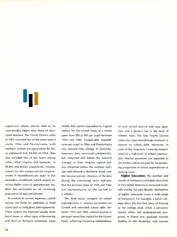supervisors whose salaries tend to be considerably higher than those of classroom teachers. The Fourth District states in 1964 included two of the more typical states, Ohio and Pennsylvania, with teachers' salaries averaging about \$6,100, as compared with \$4,000 in 1954; they also included two of the lower paying states, West Virginia and Kentucky, at \$4,800 and \$4,620, respectively. Another reason for the comparatively large increase in expenditures per pupil is that secondary enrollment, which usually involves higher costs of operation per student, has accounted for an increasing proportion of total enrollment.

**In** contrast to current expenses, capital outlays are made for additions to fixed assets such as land, plant, and equipment. These outlays are financed usually from bond issues or other types of borrowing and tend to fluctuate somewhat more

widely than current expenditures. Capital outlays for the United States as a whole grew from \$80 to \$85 per pupil between 1954 and 1964. Comparable expenditures per pupil in Ohio and Pennsylvania also showed little change. **In** Kentucky, however, they increased substantially, but remained well below the national average. **In** West Virginia, capital outlays remained below the national average and showed a declining trend over the ten-year period. (Analysis of the data during the intervening years indicates that the terminal dates of 1954 and 1964 are representative of the period as a whole.)

The third major category of school expenditures is interest payments on funded and unfunded school debt. Between 1954 and 1964, interest payments per pupil more than tripled for the United States, reflecting increasing indebtedness of local school districts and state agencies, and a general rise in the level of interest rates. The four Fourth District states also experienced large increases in interest on school debt. Moreover, in view of the long-term financing necessitated by a high level of school construction, interest payments are expected to rise further and to account for an increasing proportion of school expenditures in ensuing years.

**Higher Education.** The number and variety of institutions of higher education in the United States have increased markedly during the past decade. Institutions of higher education cover a wide range of instruction. For example, a junior college offers the first two years of training at the college level, while a university usually offers full undergraduate programs in liberal arts, graduate courses leading to the doctorate, and courses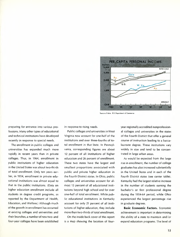

**Source of data: u.s. Department of Commerce**

preparing for entrance into various professions. Many other types of educational and technical institutions have developed recently in response to special needs.

The enrollment in public colleges and universities has expanded much more rapidly in recent years than in private colleges. Thus, in 1964, enrollment in public institutions of higher education in the United States was about two-thirds of total enrollment. Only ten years earlier, in 1954, enrollment in private educational institutions was almost equal to that in the public institutions. (Data on higher education enrollment include all students in degree credit programs, as reported by the Department of Health, Education, and Welfare.) Although much of the growth in enrollment has occurred at existing colleges and universities and their branches, a number of new two- and four-year colleges have been established

in response to rising needs.

Public colleges and universities in West Virginia now account for one-half of the institutions and over three-fourths of total enrollment in that State. In Pennsylvania, corresponding figures are about 12 percent of all institutions of higher education and 26 percent of enrollment. These two states have the largest and smallest proportions associated with public and private higher education in the Fourth District states. In Ohio, public colleges and universities account for almost 15 percent of all educational institutions beyond high school and for over one-half of total enrollment. While public educational institutions in Kentucky account for only 21 percent of all institutions of higher education, they include more than two-thirds of total enrollment.

On the inside back cover of this report is a map showing the location of fouryear regionally accredited nonprofessional colleges and universities in the states of the Fourth District that offer a general course of instruction leading to a baccalaureate degree. These institutions vary widely in size and tend to be concentrated in large urban areas.

As would be expected from the large rise in enrollment, the number of college graduates has also increased substantially in the United States and in each of the Fourth District states (see center table). Kentucky had the largest relative increase in the number of students earning the bachelor's or first professional degree during the 1954-64 period, while Ohio experienced the largest percentage rise in graduate degrees.

**Basic Economic Factors.** Economic achievement is important in determining the ability of a state to maintain and/or expand education programs. The level of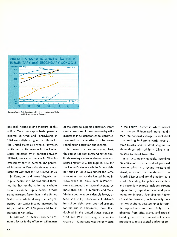

**Sources of doto:** U.S. **Deportment of Health, Education, and Welfare and** U.S. **Department of Commerce**

personal income is one measure of this ability, On a per capita basis, personal incomes in Ohio and Pennsylvania in 1964 were slightly higher than those for the United States as a whole. However, while per capita income in the United States increased by 44 percent between 1954-64, per capita income in Ohio increased by only 35 percent. The percent of increase in Pennsylvania was almost identical with that for the United States,

In Kentucky and West Virginia, per capita income in 1964 was about threefourths that for the nation as a whole. Nevertheless, per capita income in those states increased faster than in the United States as a whole during the ten-year period; per capita income increased by 62 percent in West Virginia and by 50 percent in Kentucky,

In addition to income, another economic factor is the effort or willingness of the states to support education. Effort can be measured in two ways - by willingness to incur debt for school construction and by the relationship between spending on education and income.

As shown in an accompanying chart, the amount of debt outstanding for public elementary and secondary schools was approximately \$500 per pupil in 1962 for the United States as a whole. School debt per pupil in Ohio was almost the same amount as that for the United States in 1962, while per pupil debt in Pennsylvania exceeded the national average by more than \$30. In Kentucky and West Virginia debt was considerably lower, or \$258 and \$140, respectively. Outstanding school debt, even after adjustment for the rise in enrollment, more than doubled in the United States between 1954 and 1962. Kentucky, with an increase of 142 percent, was the only State in the Fourth District in which school debt per pupil increased more rapidly than the national average. School debt outstanding in Pennsylvania rose by three-fourths and in West Virginia by about three-fifths, while in Ohio it increased by about two-fifths.

In an accompanying table, spending on education as a percent of personal income, which is a second measure of effort, is shown for the states of the Fourth District and for the nation as a whole. Spending for public elementary and secondary schools includes current expenditures, capital outlays, and payments for interest. Spending on higher education, however, includes only current expenditures because funds for capital expenditures are more likely to be obtained from gifts, grants, and special building fund drives. It would not be appropriate to relate capital outlays of col-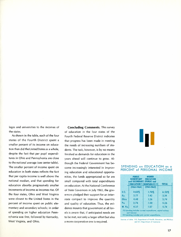leges and universities to the incomes of the states.

As shown in the table, each of the four states of the Fourth District spent a smaller percent of its income on education than did the United States as a whole, despite the fact that per pupil expenditures in Ohio and Pennsylvania are close to the national average (see center table). The smaller percent of income spent on education in both states reflects the fact that per capita income is well above the national median, and that spending for education absorbs progressively smaller increments of income as incomes rise. Of the four states, Ohio and West Virginia were closest to the United States in the percent of income spent on public elementary and secondary schools; in order of spending on higher education Pennsylvania was first, followed by Kentucky, West Virginia, and Ohio.

Concluding Comments. This survey of education in the four states of the Fourth Federal Reserve District indicates that progress has been made in meeting the needs of increasing numbers of students. The task, however, is by no means finished as demands for education in the years ahead will continue to grow. Although the Federal Government has become increasingly interested in improving education and educational opportunities, the funds appropriated so far are small compared with total expenditures on education. At the National Conference of State Governors in July 1965, the governors pledged their support for an interstate compact to improve the quantity and quality of education. Thus, the evidence mounts that *government* at all levels is aware that, if anticipated needs are to be met, not only a larger effort but also a more cooperative one is required.

#### SPENDING on EDUCATION as a PERCENT of PERSONAL INCOME

|               |                 | EDUCATION(I) NONPUBLIC)(2) | <b>TOTAL</b> |
|---------------|-----------------|----------------------------|--------------|
|               | $(1963 - 1964)$ | $(1961 - 1962)$            |              |
| U.S.          | 4.60%           | 1.70%                      | 6.30%        |
| Kγ.           | 3.77            | 1.42                       | 5.19         |
| Ohio          | 4.48            | 1.26                       | 5.74         |
| Pa.           | 3.76            | 1.50                       | 5.26         |
| <b>W. Va.</b> | 4.37            | 1.37                       | 5.74         |

Sources of doto: U.S. Department of Health. Education, and Welfare and U.S. Deportment of Commerce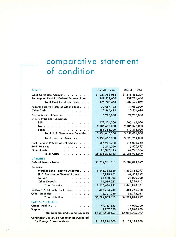### **co m pa rati ve state me nt of condition**

### ASSETS Dec. 31,1965 Dec. 31, 1964

| Gold Certificate Account                                                                                                                                                                                                                                                                                                                                                                                                                                                 | \$1,027,788,063  | \$1,146,855,209  |
|--------------------------------------------------------------------------------------------------------------------------------------------------------------------------------------------------------------------------------------------------------------------------------------------------------------------------------------------------------------------------------------------------------------------------------------------------------------------------|------------------|------------------|
| Redemption Fund for Federal Reserve Notes .                                                                                                                                                                                                                                                                                                                                                                                                                              | 147,919,600      | 137,794,660      |
| Total Gold Certificate Reserves.<br>$\sim$                                                                                                                                                                                                                                                                                                                                                                                                                               | 1,175,707,663    | 1,284,649,869    |
| Federal Reserve Notes of Other Banks.                                                                                                                                                                                                                                                                                                                                                                                                                                    | 70,087,483       | 47,080,029       |
| Other Cash.<br>$\mathbf{a}^{\mathsf{T}}\cdot\mathbf{a}^{\mathsf{T}}\cdot\mathbf{a}^{\mathsf{T}}\cdot\mathbf{a}^{\mathsf{T}}\cdot\mathbf{a}^{\mathsf{T}}\cdot\mathbf{a}^{\mathsf{T}}\cdot\mathbf{a}^{\mathsf{T}}\cdot\mathbf{a}^{\mathsf{T}}\cdot\mathbf{a}^{\mathsf{T}}\cdot\mathbf{a}^{\mathsf{T}}\cdot\mathbf{a}^{\mathsf{T}}\cdot\mathbf{a}^{\mathsf{T}}\cdot\mathbf{a}^{\mathsf{T}}\cdot\mathbf{a}^{\mathsf{T}}\cdot\mathbf{a}^{\mathsf{T}}\cdot\mathbf{a}^{\mathsf$ | 12,346,414       | 10,554,686       |
| Discounts and Advances<br>U. S. Government Securities:                                                                                                                                                                                                                                                                                                                                                                                                                   | 3,790,000        | 22,730,000       |
| <b>Bills</b><br>المتعاط الأنام المنام المنامات                                                                                                                                                                                                                                                                                                                                                                                                                           | 772,221,000      | 505,161,000      |
| Notes                                                                                                                                                                                                                                                                                                                                                                                                                                                                    | 2,106,682,000    | 2,105,047,000    |
| Bonds                                                                                                                                                                                                                                                                                                                                                                                                                                                                    | 555,763,000      | 440,816,000      |
| Total U. S. Government Securities .                                                                                                                                                                                                                                                                                                                                                                                                                                      | 3,434,666,000    | 3,051,024,000    |
| <b>Total Loans and Securities</b>                                                                                                                                                                                                                                                                                                                                                                                                                                        | 3,438,456,000    | 3,073,754,000    |
| Cash Items in Process of Collection                                                                                                                                                                                                                                                                                                                                                                                                                                      | 586,241,928      | 616,036,242      |
| Bank Premises                                                                                                                                                                                                                                                                                                                                                                                                                                                            | 5,271,050        | 5,930,897        |
| Other Assets<br><u>in the second contract of the second contract of the second contract of the second contract of the second contract of the second contract of the second contract of the second contract of the second contract of the second </u>                                                                                                                                                                                                                     | 83,397,615       | 47,990,376       |
| <b>Total Assets</b><br>$\begin{array}{cccccccccccccc} \bullet & \bullet & \bullet & \bullet & \bullet & \bullet & \bullet & \bullet & \bullet & \bullet & \bullet \end{array}$                                                                                                                                                                                                                                                                                           | \$5,371,508,153  | \$5,085,996,099  |
| <b>LIABILITIES</b>                                                                                                                                                                                                                                                                                                                                                                                                                                                       |                  |                  |
| <b>Federal Reserve Notes</b>                                                                                                                                                                                                                                                                                                                                                                                                                                             | \$3,232,281,011  | \$3,004,814,099  |
| Deposits:                                                                                                                                                                                                                                                                                                                                                                                                                                                                |                  |                  |
| Member Bank-Reserve Accounts.<br>$\mathbf{r}$                                                                                                                                                                                                                                                                                                                                                                                                                            | 1,445,338,569    | 1,350,868,097    |
| U. S. Treasurer-General Account<br>$\mathbf{r}$                                                                                                                                                                                                                                                                                                                                                                                                                          | 67,818,951       | 69,558,192       |
| Foreign<br>المناطب والتقارب والمعارض والمناطر                                                                                                                                                                                                                                                                                                                                                                                                                            | 13,500,000       | 20,020,000       |
| Other Deposits                                                                                                                                                                                                                                                                                                                                                                                                                                                           | 11,019,221       | 8,396,712        |
| Total Deposits                                                                                                                                                                                                                                                                                                                                                                                                                                                           | 1,537,676,741    | 1,448,843,001    |
| Deferred Availability Cash Items                                                                                                                                                                                                                                                                                                                                                                                                                                         | 486,774,242      | 481,765,168      |
| Other Liabilities<br>المنابط القرائم المعالم القراب والقربان                                                                                                                                                                                                                                                                                                                                                                                                             | 15,301,059       | 56,392,031       |
| Total Liabilities                                                                                                                                                                                                                                                                                                                                                                                                                                                        | \$5,272,033,053  | \$4,991,814,299  |
| <b>CAPITAL ACCOUNTS</b>                                                                                                                                                                                                                                                                                                                                                                                                                                                  |                  |                  |
| Capital Paid In                                                                                                                                                                                                                                                                                                                                                                                                                                                          | 49,737,550       | 47,090,900       |
| Surplus<br>$\mathbf{L}$<br>and the company of the company of the<br>$\ddot{\phantom{a}}$                                                                                                                                                                                                                                                                                                                                                                                 | 49,737,550       | 47,090,900       |
| <b>Total Liabilities and Capital Accounts</b>                                                                                                                                                                                                                                                                                                                                                                                                                            | \$5,371,508,153  | \$5,085,996,099  |
| Contingent Liability on Acceptances Purchased                                                                                                                                                                                                                                                                                                                                                                                                                            |                  |                  |
| for Foreign Correspondents                                                                                                                                                                                                                                                                                                                                                                                                                                               | 12,924,000<br>\$ | \$<br>11,174,800 |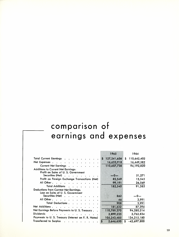## **comparison of earnings and expenses**

|                                                                                 | 1965              | 1964               |
|---------------------------------------------------------------------------------|-------------------|--------------------|
| Total Current Earnings .                                                        | 127,241,656<br>\$ | S.<br>110,642,402  |
| Net Expenses<br>$\bullet$                                                       | 16,633,918        | 16,449,582         |
| <b>Current Net Earnings</b><br>$\sim$ $\sim$                                    | 110,607,738       | 94,192,820         |
| <b>Additions to Current Net Earnings:</b><br>Profit on Sales of U.S. Government |                   |                    |
| Securities (Net)                                                                | $-0-$             | 51,271             |
| Profit on Foreign Exchange Transactions (Net)                                   | 83,349            | 13,545             |
| All Other,<br>$\sim$ $\sim$ $\sim$ $\sim$                                       | 99,191            | 26,569             |
| Total Additions<br>$\cdot$ $\cdot$ $\cdot$ $\cdot$ $\cdot$ $\cdot$              | 182,540           | 91,385             |
| Deductions from Current Net Earnings:<br>Loss on Sales of U.S. Government       |                   |                    |
| Securities (Net)                                                                | 862               | —0—                |
| All Other                                                                       | 46                | 3,991              |
| Total Deductions.<br>$\ddot{\phantom{a}}$                                       | 908               | 3.991              |
| Net Additions.<br><b>Contract Contract</b>                                      | 181,632           | 87,394             |
| Net Earnings Before Payments to U. S. Treasury.                                 | 110,789,370       | 94,280,214         |
| <b>Dividends</b>                                                                | 2,899,235         | 2,762,834          |
| Payments to U. S. Treasury (Interest on F. R. Notes)                            | 105,243,485       | 134,215,180        |
| <b>Transferred to Surplus</b><br>$\cdots$                                       | 2,646,650<br>S    | $-42.697.800$<br>S |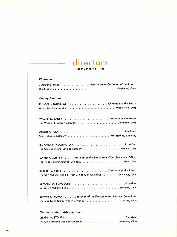# **directors**

(as of January 1, 1966)

#### *Chairman*

| JOSEPH B. HALL Director, Former Chairman of the Board |  |
|-------------------------------------------------------|--|
|                                                       |  |

#### *Deputy Chairman*

| LOGAN T. JOHNSTON Chairman of the Board |  |
|-----------------------------------------|--|
|                                         |  |

| The Warner & Swasey Company Cleveland, Ohio |  |
|---------------------------------------------|--|

| The Ohio Bank and Savings Company Findlay, Ohio |  |
|-------------------------------------------------|--|

DA VI D A. MEEKER *Chairman* of *the Board and Chief Executive Officer* The Hobart Manufacturing Company ...............................Troy, Ohio

EVERETT D. REESE *Chairman* of *the* Board The City National Bank & Trust Company of Columbus . . . . . . . . . . . Columbus, Ohio

| SEWARD D. SCHOOLER President |  |  |  |
|------------------------------|--|--|--|
|                              |  |  |  |

EDWIN J. THOMAS *Chairman* of *the Executive* and *Finance Committee* The Goodyear Tire & Rubber Company Akron, Ohio

#### *Member, Federal Advisory Council*

| The Ohio National Bank of Columbus Columbus, Ohio |  |
|---------------------------------------------------|--|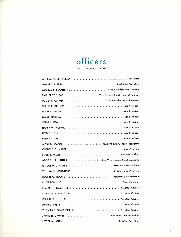# **officers**

(as of January 1, 1966)

| GEORGE E. BOOTH, JR. Vice President and Cashier           |
|-----------------------------------------------------------|
| PAUL BREIDENBACH  Vice President and General Counsel      |
|                                                           |
|                                                           |
|                                                           |
|                                                           |
|                                                           |
|                                                           |
|                                                           |
|                                                           |
| MAURICE MANN  Vice President and General Economist        |
|                                                           |
|                                                           |
| ADDISON T. CUTLER  Assistant Vice President and Economist |
|                                                           |
| WILLIAM H. HENDRICKS Assistant Vice President             |
|                                                           |
|                                                           |
|                                                           |
|                                                           |
|                                                           |
|                                                           |
|                                                           |
| JAMES H. CAMPBELL  Assistant General Auditor              |
|                                                           |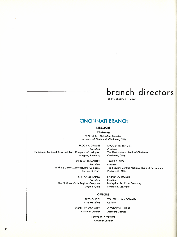## **branch directors**

(as of January 1, 1966)

### **CINCINNATI BRANCH**

#### DIRECTORS

*Chairman*

WALTER C. LANGSAM, *President* University of Cincinnati, Cincinnati, Ohio

JACOB H. GRAVES *President* The Second National Bank and Trust Company of Lexington Lexington, Kentucky

KROGER PETTENGILL *President* The First National Bank of Cincinnati Cincinnati, Ohio

JOHN W. HUMPHREY *President* The Philip Carey Manufacturing Company Cincinnati, Ohio

JAMES B. PUGH *President* The Security Central National Bank of Portsmouth Portsmouth, Ohio

R. STANLEY LAING *President* The National Cash Register Company Dayton, Ohio

BARNEY A. TUCKER *President* Burley-Belt Fertilizer Company Lexington, Kentucky

#### **OFFICERS**

FRED O. KIEL *Vice President* WALTER H. MacDONALD *Cashier*

JOSEPH W. CROWLEY *Assistant Cashier* GEORGE W. HURST *Assistant Cashier*

HOWARD E. TAYLOR *Assistant Cashier*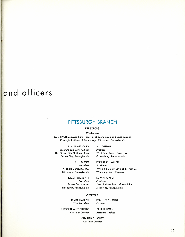### **and officers**

### **PITTSBURGH BRANCH**

#### DIRECTORS

#### *Chairman*

G. L. BACH, *Maurice Folk Professor* of *Economics and Social Science* Carnegie Institute of Technology, Pittsburgh, Pennsylvania

J. S. ARMSTRONG *President and Trust Officer* The Grove City National Bank Grove City, Pennsylvania

> F. L. BYROM *President* Koppers Company, Inc. Pittsburgh, Pennsylvania

> ROBERT DICKEY III *President* Dravo Corporation Pittsburgh, Pennsylvania

S. L. DRUMM *President* West Penn Power Company Greensburg, Pennsylvania

ROBERT C. HAZLETT *President* Wheeling Dollar Savings & Trust Co. Wheeling, West Virginia

EDWIN H. KEEP *President* First National Bank of Meadville Meadville, Pennsylvania

#### **OFFICERS**

CLYDE HARRELL *Vice President* ROY J. STEINBRINK *Cashier*

J. ROBERT AUFDERHEIDE *Assistant Cashier* PAUL H. DORN *Assistant Cashier*

CHARLES E. HOUPT *Assistant Cashier*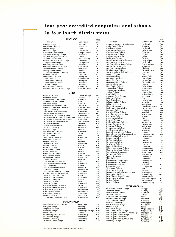### **four-year accredited nonprofessional schools** . **In four fo u rth district states**

| <b>KENTUCKY</b><br>College                             |                         |                    |                                                           |                        | Map              |
|--------------------------------------------------------|-------------------------|--------------------|-----------------------------------------------------------|------------------------|------------------|
|                                                        |                         | Map                | College                                                   | Community              | Code             |
|                                                        | Community               | Code               |                                                           |                        |                  |
| Asbury College                                         | Wilmore                 | $F - 3*$           | Carnegie Institute of Technology                          | Pittsburgh             | $C-5$ *          |
| <b>Bellarmine College</b>                              | Louisville              | $F-2$              | Cedar Crest College                                       | Allentown              | $B - 7$          |
| Berea College                                          |                         |                    | Chatham College                                           | Pittsburgh             | $C-5*$           |
|                                                        | Berea                   | $G - 3*$           |                                                           |                        |                  |
| Brescia College                                        | Owensboro               | $F-1$              | Chestnut Hill College                                     | Philadelphia           | $C-7$            |
| Campbellsville College                                 | Campbellsville          | $G-2$              | Cheyney State College                                     | Cheyney                | $C-7$            |
| Catherine Spalding College                             | Louisville              | $F-2$              | Clarion State College                                     | Clarion                | $B-5$ *          |
| Centre College of Kentucky                             | Danville                | $G-3$              | College Misericordia                                      | Dallas                 | $B-7$            |
| <b>Cumberland College</b>                              | Williamsburg            | $H - 3^*$          | Dickinson College                                         | Carlisle               | $C-6$            |
|                                                        |                         |                    |                                                           |                        | $C-7$            |
| Eastern Kentucky State College                         | Richmond                | $G - 3*$           | Drexel Institute of Technology                            | Philadelphia           |                  |
| Georgetown College                                     | Georgetown              | $F-3$ <sup>*</sup> | Duquesne University                                       | Pittsburgh             | $C-5*$           |
| Kentucky State College                                 | Frankfort <sup>*</sup>  | $F-3$              | East Stroudsburg State College                            | East Stroudsburg       | $B - 7$          |
| Kentucky Wesleyan College                              | Owensboro               | G-1                | Eastern Baptist College                                   | St. Davids             | $C-7$            |
|                                                        |                         | $F-3$ *            | Edinboro State College                                    | Edinboro               | $A-5$ *          |
| Morehead State College                                 | Morehead                |                    |                                                           |                        |                  |
| Murray State College                                   | Murray                  | $H-1$              | Elizabethtown College                                     | Elizabethtown          | $C-6$            |
| Nazareth College of Kentucky                           | Nazareth                | $F-2$              | Franklin and Marshall College                             | Lancaster              | $C-7$            |
| Pikeville College                                      | Pikeville               | $G-4*$             | Gannon College                                            | Erie                   | $A-5$ *          |
| Transylvania College                                   | Lexington               | $F - 3*$           | Geneva College                                            | <b>Beaver Falls</b>    | $C-5$ *          |
|                                                        |                         |                    | Gettysburg College                                        | Gettysburg             | D-6              |
| Union College                                          | Barbourville            | $H - 3*$           |                                                           |                        |                  |
| University of Kentucky                                 | Lexington               | $F-3*$             | <b>Grove City College</b>                                 | <b>Grove City</b>      | $B-5$ *          |
| University of Louisville                               | Louisville              | $F-2$              | Gwynedd-Mercy College                                     | Gwynedd Valley         | $C-7$            |
| Ursuline College                                       | Louisville              | $F-2$              | Haverford College                                         | Haverford              | $C-7$            |
| Villa Madonna College                                  | Covington               | $E-3*$             | Holy Family College                                       | Philadelphia           | $C-7$            |
|                                                        |                         |                    | Immaculata College                                        | Immaculata             |                  |
| Western Kentucky State College                         | <b>Bowling Green</b>    | $G-2$              |                                                           |                        | $C-7$            |
|                                                        |                         |                    | Indiana State College                                     | Indiana                | $C-5$ *          |
| оню                                                    |                         |                    | Juniata College                                           | Huntingdon             | $C-6$            |
|                                                        |                         |                    | King's College                                            | Wilkes-Barre           | $B-7$            |
| Antioch College                                        | <b>Yellow Springs</b>   | $D-3*$             | Kutztown State College                                    | Kutztown               | $C-7$            |
| Ashland College                                        | Ashland                 | $C-4$ *            | Lafayette College                                         |                        |                  |
| Athenaeum of Ohio (The)                                | Cincinnati              | $F-3$ *            |                                                           | Easton                 | $B-7$            |
| Baldwin-Wallace College                                | <b>Berea</b>            | $B-4$ *            | La Salle College                                          | Philadelphia           | $C-7$            |
|                                                        |                         |                    | Lebanon Valley College                                    | Annville               | $C-6$            |
| <b>Bluffton College</b>                                | Bluffton                | $C-3$ *            | Lehigh University                                         | Bethlehem              | $B - 7$          |
| Borromeo Seminary of Ohio                              | Wickliffe               | $B-4$ *            | Lincoln University                                        | Lincoln University     |                  |
| Bowling Green State University                         | <b>Bowling Green</b>    | $B - 3*$           |                                                           |                        | $D - 7$          |
| Capital University                                     | Columbus                | $D-4$ *            | Lock Haven State College                                  | Lock Haven             | $B-6$            |
|                                                        |                         |                    | Lycoming College                                          | Williamsport           | $B-6$            |
| Case Institute of Technology                           | Cleveland               | $B-4$ *            | Mansfield State College                                   | Mansfield              | $A-6$            |
| Central State University                               | Wilberforce             | $D-3*$             | Mary Immaculate Seminary                                  | Northampton            | $B-7$            |
| Cleveland State University (Fenn)                      | Cleveland               | $B-4$ *            | Marywood College                                          |                        |                  |
| College of Mt. St. Joseph-on-the-Ohio                  | Mt. St. Joseph          | $E-3$ *            |                                                           | Scranton               | A-7              |
|                                                        | Columbus                | $D-4$ *            | Mercyhurst College                                        | Erie                   | $A-5$ *          |
| College of St. Mary of the Springs                     |                         |                    | Messiah College                                           | Grantham               | $C-6$            |
| College of Steubenville (The)                          | Steubenville            | $C-5$ *            | Millersville State College                                | Millersville           | C-7              |
| College of Wooster                                     | Wooster                 | $C-4$ *            | Moore College of Art                                      | Philadelphia           | $C-7$            |
| Defiance College (The)                                 | Defiance                | $B-3$ *            |                                                           |                        |                  |
| Denison University                                     | Granville               | $D-4$ *            | Moravian College                                          | Bethlehem              | $B-7$            |
|                                                        |                         |                    | Mount Mercy College                                       | Pittsburgh             | $C-5$ *          |
| Findlay College                                        | Findlay                 | $B-3*$             | Muhlenburg College                                        | Allentown              | $C-7$            |
| Hebrew Union College                                   | Cincinnati              | $E-3*$             | Pennsylvania Military College                             | Chester                | $C-7$            |
| Heidelberg College                                     | Tiffin                  | $B-3$ *            | Pennsylvania State University (The)                       |                        |                  |
| Hiram College                                          | Hiram                   | $B-4$ *            |                                                           | University Park        | $B-6$            |
| John Carroll University                                | Cleveland               | $B-4$ *            | Philadelphia College of Art                               | Philadelphia           | $C-7$            |
|                                                        |                         |                    | Rosemont College                                          | Rosemont               | $C-7$            |
| Kent State University                                  | Kent                    | $B-4$ *            |                                                           |                        |                  |
|                                                        |                         |                    |                                                           |                        |                  |
|                                                        | Gambier                 | $C-4$ <sup>*</sup> | St. Francis College                                       | Loretto                | $C-5$            |
| Kenyon College                                         |                         |                    | St. Joseph's College                                      | Philadelphia           | $C-7$            |
| Lake Erie College                                      | Painesville             | $A-4$ *            | St. Vincent College                                       | Latrobe                | $C-5$ *          |
| Malone College                                         | Canton                  | $C-4*$             | Seton Hill College                                        | Greensburg             | $C-5$ *          |
| Marietta College                                       | Marietta                | $D-4$ *            |                                                           |                        |                  |
| Mary Manse College                                     | Toledo                  | $B-3*$             | Shippensburg State College                                | Shippensburg           | $C-6$            |
|                                                        | Oxford                  | $D-3*$             | Slippery Rock State College                               | Slippery Rock          | $B-5$ *          |
| Miami University                                       |                         |                    | Susquehanna University                                    | Selinsgrove            | $B-6$            |
| Mount Union College                                    | Alliance                | $B-4$ *            | Swarthmore College                                        | Swarthmore             | C-7              |
| Muskingum College                                      | New Concord             | $D-4$ *            | <b>Temple University</b>                                  | Philadelphia           |                  |
| Notre Dame College                                     | Cleveland               | $B-4$ *            |                                                           |                        | $C-7$            |
| Oberlin College                                        | Oberlin                 | $B - 4*$           | Thiel College                                             | Greenville             | $B-5*$           |
| Ohio Northern University                               | Ada                     | $C-3*$             | University of Pennsylvania                                | Philadelphia           | $C-7$            |
|                                                        | Columbus                |                    | University of Pittsburgh                                  | Pittsburgh             | $C-5$ *          |
| Ohio State University (The)                            |                         | $D-3*$             | University of Scranton                                    | Scranton               | A-7              |
| <b>Ohio University</b>                                 | Athens                  | $D-4$ *            | Ursinus College                                           | Collegeville           | $C-7$            |
| Ohio Wesleyan University                               | Delaware                | $C-3$ *            | Villa Maria College                                       | Erie                   |                  |
| Otterbein College                                      | Westerville             | $D-4*$             |                                                           |                        | $A-5$ *          |
| Our Lady of Cincinnati College                         | Cincinnati              | $E-3$ *            | Villanova University                                      | Villanova              | $C-7$            |
| St. John College of Cleveland                          |                         | $B-4$ *            | Washington and Jefferson College                          | Washington             | $C-5*$           |
|                                                        | Cleveland               |                    | Waynesburg College                                        | waynesburg             | D-5*             |
| University of Akron (The)                              | Akron                   | $B-4$ *            | West Chester State College                                | West Chester           | C-7              |
| University of Cincinnati                               | Cincinnati              | $E-3$ *            | Westminster College                                       |                        |                  |
| University of Dayton                                   | Dayton                  | $D-3*$             |                                                           | New Wilmington         | $B-5$ *          |
|                                                        | Toledo                  | $B-3$ *            | Wilkes College                                            | Wilkes-Barre           | $B-7$            |
| University of Toledo<br>Ursuline College               | Cleveland               | $B-4$ *            | Wilson College                                            | Chambersburg           | C-6              |
|                                                        |                         |                    |                                                           |                        |                  |
| Western College for Women                              | Oxford                  | $D-3*$             | <b>WEST VIRGINIA</b>                                      |                        |                  |
| <b>Western Reserve University</b>                      | Cleveland               | $B-4$ *            |                                                           |                        |                  |
| <b>Wilberforce University</b>                          | Wilberforce             | $D-3$ <sup>*</sup> | Alderson-Broaddus College                                 | Philippi               | $E-5$            |
| Wilmington College                                     | Wilmington              | $D-3*$             | Bethany College                                           | Bethany                | $C-5*$           |
|                                                        |                         |                    | <b>Bluefield State College</b>                            | Bluefield              | $G-4$            |
| Wittenberg University                                  | Springfield             | $D - 3*$           | Concord College                                           | Athens                 |                  |
| Xavier University                                      | Cincinnati              | $E-3*$             | Davis and Elkins College                                  |                        | $G-4$            |
| Youngstown University (The)                            | Youngstown              | B-5*               |                                                           | Elkins                 | $E-5$            |
|                                                        |                         |                    | Fairmont State College                                    | Fairmont               | $D-5$            |
|                                                        |                         |                    | Glenville State College                                   | Glenville              | $E-4$            |
| <b>PENNSYLVANIA</b>                                    |                         |                    | Marshall University                                       | Huntington             | $F-4$            |
| Academy of the New Church                              | Bryn Athyn              | $C-7$              | Morris Harvey College                                     | Charleston             |                  |
|                                                        | Reading                 |                    |                                                           |                        | $F-4$            |
| Albright College                                       |                         | C-7                | Salem College                                             | Salem                  | D-5              |
| Allegheny College                                      | Meadville               | $A - 5*$           | Shepherd College                                          | Shepherdstown          | D-6              |
| Alliance College                                       | Cambridge Springs       | $A-5$ *            | West Liberty State College                                | <b>West Liberty</b>    | $C-5$ *          |
| <b>Beaver College</b>                                  | Glenside                | $C-7$              | West Virginia Institute of Technology                     | Montgomery             | F-4              |
|                                                        |                         | $B-6$              | West Virginia State College                               |                        |                  |
| Bloomsburg State College                               | Bloomsburg              |                    |                                                           | Institute              | $F-4$            |
| Bryn Mawr College                                      | Bryn Mawr               | $C-7$              | West Virginia University                                  | Morgantown             | D-5              |
| <b>Bucknell University</b><br>California State College | Lewisburg<br>California | $B-6$<br>$C-5$ *   | West Virginia Wesleyan College<br><b>Wheeling College</b> | Buckhannon<br>Wheeling | $E-5$<br>$C-5$ * |

\*Located in the Fourth Federal Reserve District.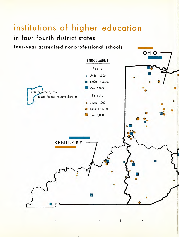# **institutions of higher education**

./

**in four fourth district states**

 $\mathbf{1}$ 

 $\mathbf{I}$ 

**four-year accredited non professional schools**



2

 $\overline{\phantom{a}}$ 

3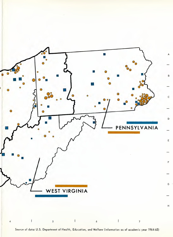

Source of data: U.S. Department of Health, Education, and Welfare (information as of academic year 1964-65)